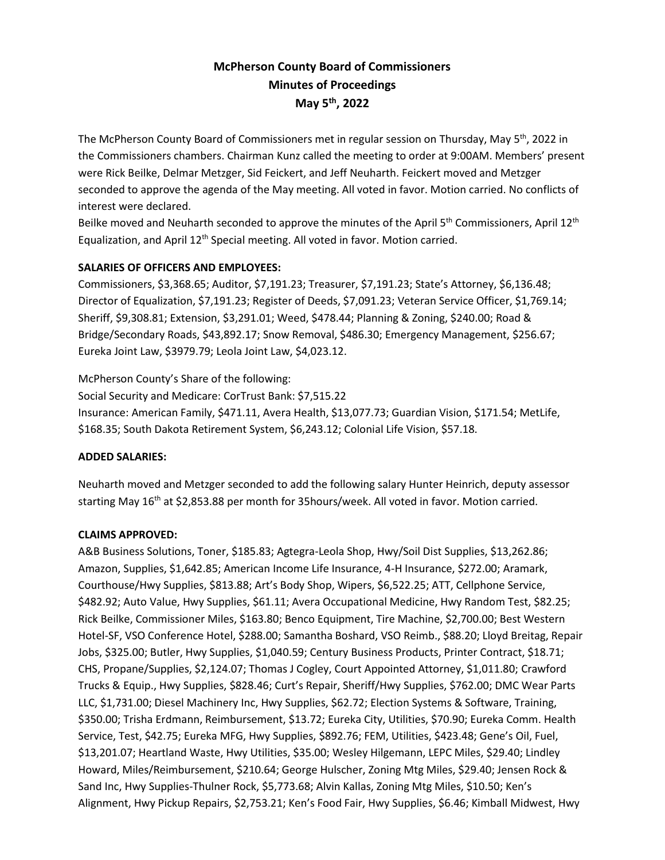# **McPherson County Board of Commissioners Minutes of Proceedings May 5th , 2022**

The McPherson County Board of Commissioners met in regular session on Thursday, May 5<sup>th</sup>, 2022 in the Commissioners chambers. Chairman Kunz called the meeting to order at 9:00AM. Members' present were Rick Beilke, Delmar Metzger, Sid Feickert, and Jeff Neuharth. Feickert moved and Metzger seconded to approve the agenda of the May meeting. All voted in favor. Motion carried. No conflicts of interest were declared.

Beilke moved and Neuharth seconded to approve the minutes of the April 5<sup>th</sup> Commissioners, April 12<sup>th</sup> Equalization, and April  $12<sup>th</sup>$  Special meeting. All voted in favor. Motion carried.

# **SALARIES OF OFFICERS AND EMPLOYEES:**

Commissioners, \$3,368.65; Auditor, \$7,191.23; Treasurer, \$7,191.23; State's Attorney, \$6,136.48; Director of Equalization, \$7,191.23; Register of Deeds, \$7,091.23; Veteran Service Officer, \$1,769.14; Sheriff, \$9,308.81; Extension, \$3,291.01; Weed, \$478.44; Planning & Zoning, \$240.00; Road & Bridge/Secondary Roads, \$43,892.17; Snow Removal, \$486.30; Emergency Management, \$256.67; Eureka Joint Law, \$3979.79; Leola Joint Law, \$4,023.12.

McPherson County's Share of the following:

Social Security and Medicare: CorTrust Bank: \$7,515.22 Insurance: American Family, \$471.11, Avera Health, \$13,077.73; Guardian Vision, \$171.54; MetLife, \$168.35; South Dakota Retirement System, \$6,243.12; Colonial Life Vision, \$57.18.

# **ADDED SALARIES:**

Neuharth moved and Metzger seconded to add the following salary Hunter Heinrich, deputy assessor starting May 16<sup>th</sup> at \$2,853.88 per month for 35hours/week. All voted in favor. Motion carried.

# **CLAIMS APPROVED:**

A&B Business Solutions, Toner, \$185.83; Agtegra-Leola Shop, Hwy/Soil Dist Supplies, \$13,262.86; Amazon, Supplies, \$1,642.85; American Income Life Insurance, 4-H Insurance, \$272.00; Aramark, Courthouse/Hwy Supplies, \$813.88; Art's Body Shop, Wipers, \$6,522.25; ATT, Cellphone Service, \$482.92; Auto Value, Hwy Supplies, \$61.11; Avera Occupational Medicine, Hwy Random Test, \$82.25; Rick Beilke, Commissioner Miles, \$163.80; Benco Equipment, Tire Machine, \$2,700.00; Best Western Hotel-SF, VSO Conference Hotel, \$288.00; Samantha Boshard, VSO Reimb., \$88.20; Lloyd Breitag, Repair Jobs, \$325.00; Butler, Hwy Supplies, \$1,040.59; Century Business Products, Printer Contract, \$18.71; CHS, Propane/Supplies, \$2,124.07; Thomas J Cogley, Court Appointed Attorney, \$1,011.80; Crawford Trucks & Equip., Hwy Supplies, \$828.46; Curt's Repair, Sheriff/Hwy Supplies, \$762.00; DMC Wear Parts LLC, \$1,731.00; Diesel Machinery Inc, Hwy Supplies, \$62.72; Election Systems & Software, Training, \$350.00; Trisha Erdmann, Reimbursement, \$13.72; Eureka City, Utilities, \$70.90; Eureka Comm. Health Service, Test, \$42.75; Eureka MFG, Hwy Supplies, \$892.76; FEM, Utilities, \$423.48; Gene's Oil, Fuel, \$13,201.07; Heartland Waste, Hwy Utilities, \$35.00; Wesley Hilgemann, LEPC Miles, \$29.40; Lindley Howard, Miles/Reimbursement, \$210.64; George Hulscher, Zoning Mtg Miles, \$29.40; Jensen Rock & Sand Inc, Hwy Supplies-Thulner Rock, \$5,773.68; Alvin Kallas, Zoning Mtg Miles, \$10.50; Ken's Alignment, Hwy Pickup Repairs, \$2,753.21; Ken's Food Fair, Hwy Supplies, \$6.46; Kimball Midwest, Hwy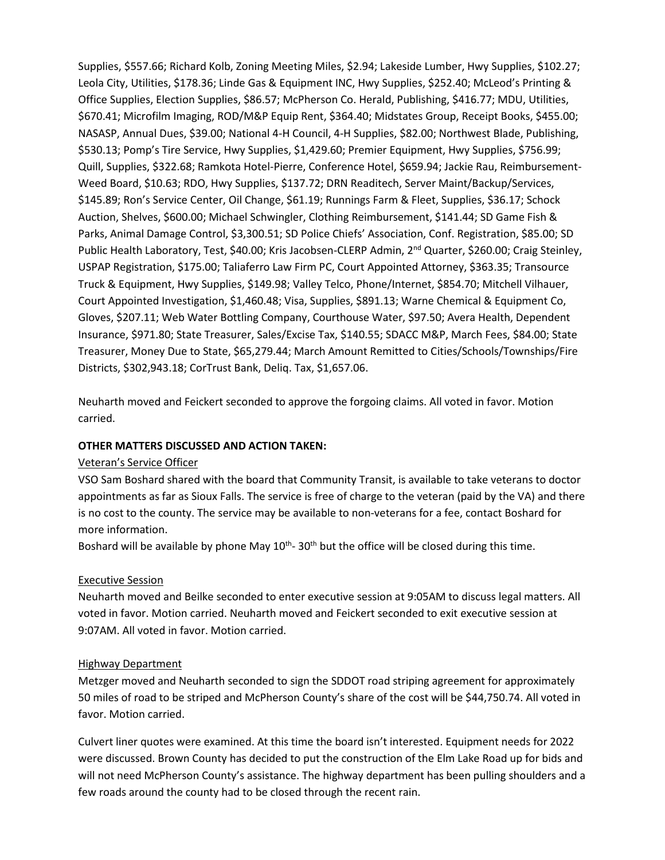Supplies, \$557.66; Richard Kolb, Zoning Meeting Miles, \$2.94; Lakeside Lumber, Hwy Supplies, \$102.27; Leola City, Utilities, \$178.36; Linde Gas & Equipment INC, Hwy Supplies, \$252.40; McLeod's Printing & Office Supplies, Election Supplies, \$86.57; McPherson Co. Herald, Publishing, \$416.77; MDU, Utilities, \$670.41; Microfilm Imaging, ROD/M&P Equip Rent, \$364.40; Midstates Group, Receipt Books, \$455.00; NASASP, Annual Dues, \$39.00; National 4-H Council, 4-H Supplies, \$82.00; Northwest Blade, Publishing, \$530.13; Pomp's Tire Service, Hwy Supplies, \$1,429.60; Premier Equipment, Hwy Supplies, \$756.99; Quill, Supplies, \$322.68; Ramkota Hotel-Pierre, Conference Hotel, \$659.94; Jackie Rau, Reimbursement-Weed Board, \$10.63; RDO, Hwy Supplies, \$137.72; DRN Readitech, Server Maint/Backup/Services, \$145.89; Ron's Service Center, Oil Change, \$61.19; Runnings Farm & Fleet, Supplies, \$36.17; Schock Auction, Shelves, \$600.00; Michael Schwingler, Clothing Reimbursement, \$141.44; SD Game Fish & Parks, Animal Damage Control, \$3,300.51; SD Police Chiefs' Association, Conf. Registration, \$85.00; SD Public Health Laboratory, Test, \$40.00; Kris Jacobsen-CLERP Admin, 2<sup>nd</sup> Quarter, \$260.00; Craig Steinley, USPAP Registration, \$175.00; Taliaferro Law Firm PC, Court Appointed Attorney, \$363.35; Transource Truck & Equipment, Hwy Supplies, \$149.98; Valley Telco, Phone/Internet, \$854.70; Mitchell Vilhauer, Court Appointed Investigation, \$1,460.48; Visa, Supplies, \$891.13; Warne Chemical & Equipment Co, Gloves, \$207.11; Web Water Bottling Company, Courthouse Water, \$97.50; Avera Health, Dependent Insurance, \$971.80; State Treasurer, Sales/Excise Tax, \$140.55; SDACC M&P, March Fees, \$84.00; State Treasurer, Money Due to State, \$65,279.44; March Amount Remitted to Cities/Schools/Townships/Fire Districts, \$302,943.18; CorTrust Bank, Deliq. Tax, \$1,657.06.

Neuharth moved and Feickert seconded to approve the forgoing claims. All voted in favor. Motion carried.

#### **OTHER MATTERS DISCUSSED AND ACTION TAKEN:**

#### Veteran's Service Officer

VSO Sam Boshard shared with the board that Community Transit, is available to take veterans to doctor appointments as far as Sioux Falls. The service is free of charge to the veteran (paid by the VA) and there is no cost to the county. The service may be available to non-veterans for a fee, contact Boshard for more information.

Boshard will be available by phone May  $10^{th}$ - 30<sup>th</sup> but the office will be closed during this time.

#### Executive Session

Neuharth moved and Beilke seconded to enter executive session at 9:05AM to discuss legal matters. All voted in favor. Motion carried. Neuharth moved and Feickert seconded to exit executive session at 9:07AM. All voted in favor. Motion carried.

#### Highway Department

Metzger moved and Neuharth seconded to sign the SDDOT road striping agreement for approximately 50 miles of road to be striped and McPherson County's share of the cost will be \$44,750.74. All voted in favor. Motion carried.

Culvert liner quotes were examined. At this time the board isn't interested. Equipment needs for 2022 were discussed. Brown County has decided to put the construction of the Elm Lake Road up for bids and will not need McPherson County's assistance. The highway department has been pulling shoulders and a few roads around the county had to be closed through the recent rain.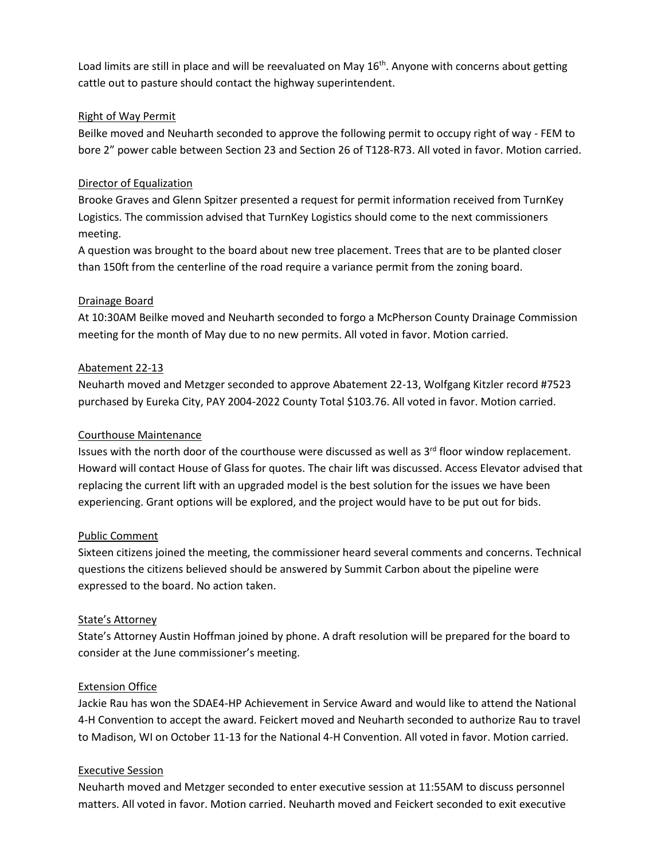Load limits are still in place and will be reevaluated on May 16<sup>th</sup>. Anyone with concerns about getting cattle out to pasture should contact the highway superintendent.

### Right of Way Permit

Beilke moved and Neuharth seconded to approve the following permit to occupy right of way - FEM to bore 2" power cable between Section 23 and Section 26 of T128-R73. All voted in favor. Motion carried.

#### Director of Equalization

Brooke Graves and Glenn Spitzer presented a request for permit information received from TurnKey Logistics. The commission advised that TurnKey Logistics should come to the next commissioners meeting.

A question was brought to the board about new tree placement. Trees that are to be planted closer than 150ft from the centerline of the road require a variance permit from the zoning board.

#### Drainage Board

At 10:30AM Beilke moved and Neuharth seconded to forgo a McPherson County Drainage Commission meeting for the month of May due to no new permits. All voted in favor. Motion carried.

#### Abatement 22-13

Neuharth moved and Metzger seconded to approve Abatement 22-13, Wolfgang Kitzler record #7523 purchased by Eureka City, PAY 2004-2022 County Total \$103.76. All voted in favor. Motion carried.

### Courthouse Maintenance

Issues with the north door of the courthouse were discussed as well as  $3<sup>rd</sup>$  floor window replacement. Howard will contact House of Glass for quotes. The chair lift was discussed. Access Elevator advised that replacing the current lift with an upgraded model is the best solution for the issues we have been experiencing. Grant options will be explored, and the project would have to be put out for bids.

# Public Comment

Sixteen citizens joined the meeting, the commissioner heard several comments and concerns. Technical questions the citizens believed should be answered by Summit Carbon about the pipeline were expressed to the board. No action taken.

#### State's Attorney

State's Attorney Austin Hoffman joined by phone. A draft resolution will be prepared for the board to consider at the June commissioner's meeting.

# Extension Office

Jackie Rau has won the SDAE4-HP Achievement in Service Award and would like to attend the National 4-H Convention to accept the award. Feickert moved and Neuharth seconded to authorize Rau to travel to Madison, WI on October 11-13 for the National 4-H Convention. All voted in favor. Motion carried.

#### Executive Session

Neuharth moved and Metzger seconded to enter executive session at 11:55AM to discuss personnel matters. All voted in favor. Motion carried. Neuharth moved and Feickert seconded to exit executive